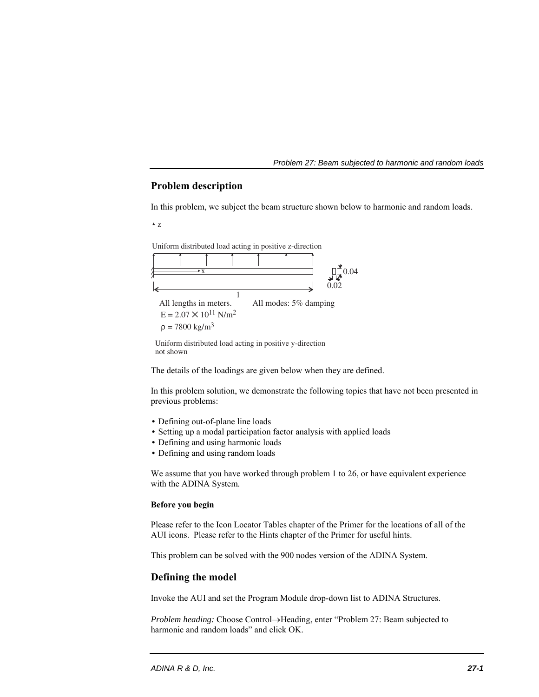## **Problem description**

In this problem, we subject the beam structure shown below to harmonic and random loads.



Uniform distributed load acting in positive y-direction not shown

The details of the loadings are given below when they are defined.

In this problem solution, we demonstrate the following topics that have not been presented in previous problems:

- Defining out-of-plane line loads
- Setting up a modal participation factor analysis with applied loads
- Defining and using harmonic loads
- Defining and using random loads

We assume that you have worked through problem 1 to 26, or have equivalent experience with the ADINA System.

## **Before you begin**

Please refer to the Icon Locator Tables chapter of the Primer for the locations of all of the AUI icons. Please refer to the Hints chapter of the Primer for useful hints.

This problem can be solved with the 900 nodes version of the ADINA System.

## **Defining the model**

Invoke the AUI and set the Program Module drop-down list to ADINA Structures.

*Problem heading:* Choose Control-Heading, enter "Problem 27: Beam subjected to harmonic and random loads" and click OK.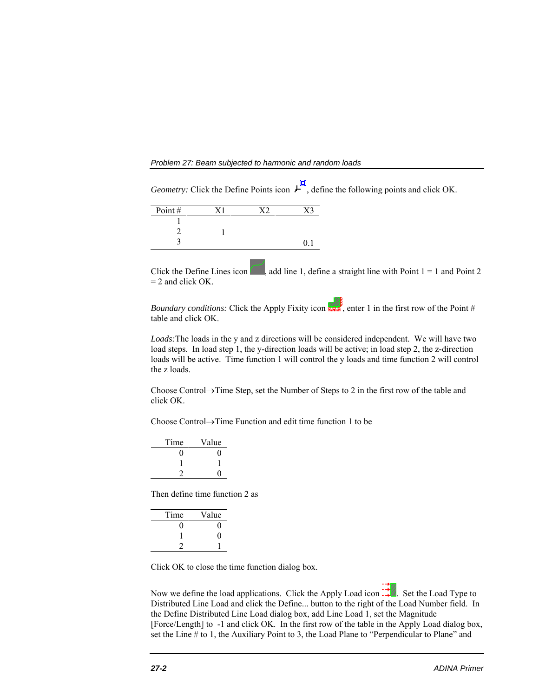*Problem 27: Beam subjected to harmonic and random loads* 

| Point# |  |  |
|--------|--|--|
|        |  |  |
|        |  |  |
|        |  |  |

Click the Define Lines icon , add line 1, define a straight line with Point  $1 = 1$  and Point 2  $= 2$  and click OK.

*Geometry:* Click the Define Points icon  $L^{\mathbf{H}}$ , define the following points and click OK.

*Boundary conditions:* Click the Apply Fixity icon  $\frac{1}{2}$ , enter 1 in the first row of the Point # table and click OK.

*Loads:*The loads in the y and z directions will be considered independent. We will have two load steps. In load step 1, the y-direction loads will be active; in load step 2, the z-direction loads will be active. Time function 1 will control the y loads and time function 2 will control the z loads.

Choose Control $\rightarrow$ Time Step, set the Number of Steps to 2 in the first row of the table and click OK.

Choose Control $\rightarrow$ Time Function and edit time function 1 to be

| Time | Value |
|------|-------|
| 1    |       |
|      |       |
|      |       |
|      |       |

Then define time function 2 as

| Time | Value |
|------|-------|
| 0    | 0     |
|      | 0     |
|      |       |
|      |       |

Click OK to close the time function dialog box.

Now we define the load applications. Click the Apply Load icon  $\ddots$ . Set the Load Type to Distributed Line Load and click the Define... button to the right of the Load Number field. In the Define Distributed Line Load dialog box, add Line Load 1, set the Magnitude [Force/Length] to -1 and click OK. In the first row of the table in the Apply Load dialog box, set the Line # to 1, the Auxiliary Point to 3, the Load Plane to "Perpendicular to Plane" and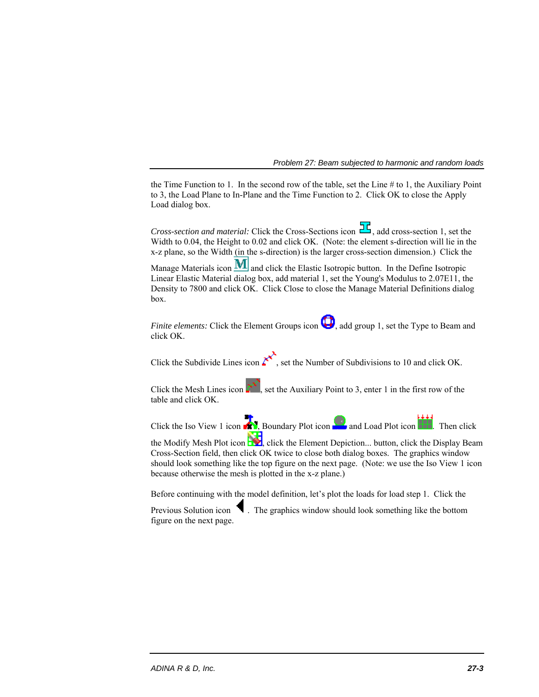the Time Function to 1. In the second row of the table, set the Line # to 1, the Auxiliary Point to 3, the Load Plane to In-Plane and the Time Function to 2. Click OK to close the Apply Load dialog box.

*Cross-section and material:* Click the Cross-Sections icon  $\overline{\mathcal{H}}$ , add cross-section 1, set the Width to 0.04, the Height to 0.02 and click OK. (Note: the element s-direction will lie in the x-z plane, so the Width (in the s-direction) is the larger cross-section dimension.) Click the Manage Materials icon  $\mathbf{M}$  and click the Elastic Isotropic button. In the Define Isotropic Linear Elastic Material dialog box, add material 1, set the Young's Modulus to 2.07E11, the Density to 7800 and click OK. Click Close to close the Manage Material Definitions dialog box.

*Finite elements:* Click the Element Groups icon **(D)**, add group 1, set the Type to Beam and click OK.

Click the Subdivide Lines icon  $\mathcal{K}$ , set the Number of Subdivisions to 10 and click OK.

Click the Mesh Lines icon  $\mathbb{R}^3$ , set the Auxiliary Point to 3, enter 1 in the first row of the table and click OK.

Click the Iso View 1 icon **1999**, Boundary Plot icon **and Load Plot icon and Load Plot icon** 

the Modify Mesh Plot icon  $\mathcal{L}$ , click the Element Depiction... button, click the Display Beam Cross-Section field, then click OK twice to close both dialog boxes. The graphics window should look something like the top figure on the next page. (Note: we use the Iso View 1 icon because otherwise the mesh is plotted in the x-z plane.)

Before continuing with the model definition, let's plot the loads for load step 1. Click the

Previous Solution icon  $\blacksquare$ . The graphics window should look something like the bottom figure on the next page.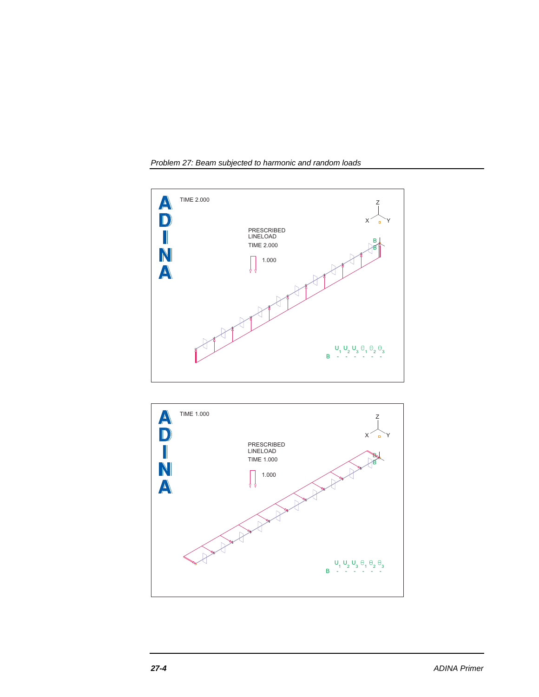



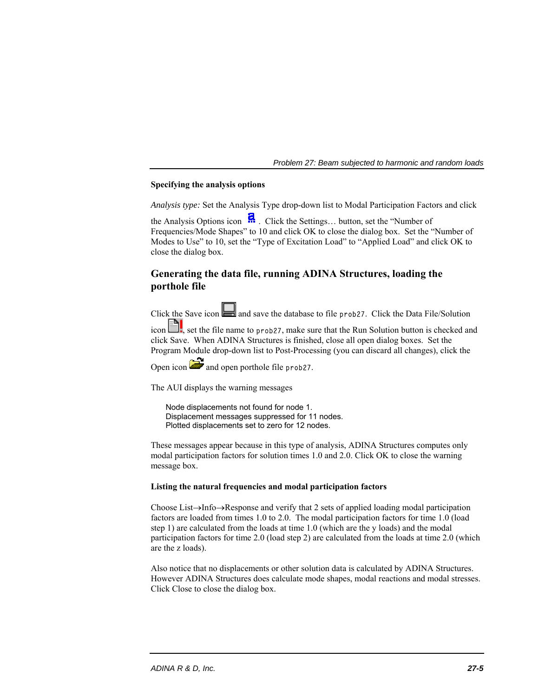## **Specifying the analysis options**

*Analysis type:* Set the Analysis Type drop-down list to Modal Participation Factors and click

the Analysis Options icon  $\ddot{H}$ . Click the Settings... button, set the "Number of Frequencies/Mode Shapes" to 10 and click OK to close the dialog box. Set the "Number of Modes to Use" to 10, set the "Type of Excitation Load" to "Applied Load" and click OK to close the dialog box.

# **Generating the data file, running ADINA Structures, loading the porthole file**

Click the Save icon  $\Box$  and save the database to file prob27. Click the Data File/Solution

 $\Box$ , set the file name to prob27, make sure that the Run Solution button is checked and click Save. When ADINA Structures is finished, close all open dialog boxes. Set the Program Module drop-down list to Post-Processing (you can discard all changes), click the

Open icon  $\ddot{=}$  and open porthole file prob27.

The AUI displays the warning messages

 Node displacements not found for node 1. Displacement messages suppressed for 11 nodes. Plotted displacements set to zero for 12 nodes.

These messages appear because in this type of analysis, ADINA Structures computes only modal participation factors for solution times 1.0 and 2.0. Click OK to close the warning message box.

## **Listing the natural frequencies and modal participation factors**

Choose List $\rightarrow$ Info $\rightarrow$ Response and verify that 2 sets of applied loading modal participation factors are loaded from times 1.0 to 2.0. The modal participation factors for time 1.0 (load step 1) are calculated from the loads at time 1.0 (which are the y loads) and the modal participation factors for time 2.0 (load step 2) are calculated from the loads at time 2.0 (which are the z loads).

Also notice that no displacements or other solution data is calculated by ADINA Structures. However ADINA Structures does calculate mode shapes, modal reactions and modal stresses. Click Close to close the dialog box.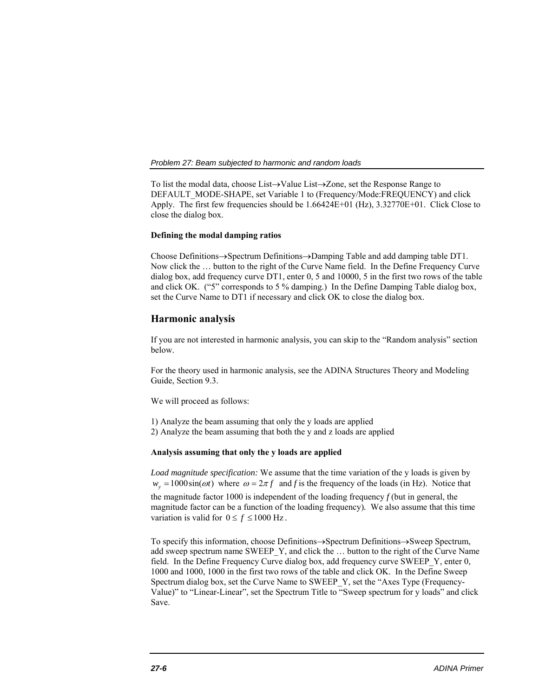To list the modal data, choose List $\rightarrow$ Value List $\rightarrow$ Zone, set the Response Range to DEFAULT\_MODE-SHAPE, set Variable 1 to (Frequency/Mode:FREQUENCY) and click Apply. The first few frequencies should be 1.66424E+01 (Hz), 3.32770E+01. Click Close to close the dialog box.

## **Defining the modal damping ratios**

Choose Definitions $\rightarrow$ Spectrum Definitions $\rightarrow$ Damping Table and add damping table DT1. Now click the … button to the right of the Curve Name field. In the Define Frequency Curve dialog box, add frequency curve DT1, enter 0, 5 and 10000, 5 in the first two rows of the table and click OK. ("5" corresponds to 5 % damping.) In the Define Damping Table dialog box, set the Curve Name to DT1 if necessary and click OK to close the dialog box.

## **Harmonic analysis**

If you are not interested in harmonic analysis, you can skip to the "Random analysis" section below.

For the theory used in harmonic analysis, see the ADINA Structures Theory and Modeling Guide, Section 9.3.

We will proceed as follows:

1) Analyze the beam assuming that only the y loads are applied 2) Analyze the beam assuming that both the y and z loads are applied

#### **Analysis assuming that only the y loads are applied**

*Load magnitude specification:* We assume that the time variation of the y loads is given by  $w_y = 1000\sin(\omega t)$  where  $\omega = 2\pi f$  and f is the frequency of the loads (in Hz). Notice that the magnitude factor 1000 is independent of the loading frequency *f* (but in general, the magnitude factor can be a function of the loading frequency)*.* We also assume that this time variation is valid for  $0 \le f \le 1000$  Hz.

To specify this information, choose Definitions $\rightarrow$ Spectrum Definitions $\rightarrow$ Sweep Spectrum, add sweep spectrum name SWEEP\_Y, and click the … button to the right of the Curve Name field. In the Define Frequency Curve dialog box, add frequency curve SWEEP\_Y, enter 0, 1000 and 1000, 1000 in the first two rows of the table and click OK. In the Define Sweep Spectrum dialog box, set the Curve Name to SWEEP\_Y, set the "Axes Type (Frequency-Value)" to "Linear-Linear", set the Spectrum Title to "Sweep spectrum for y loads" and click Save.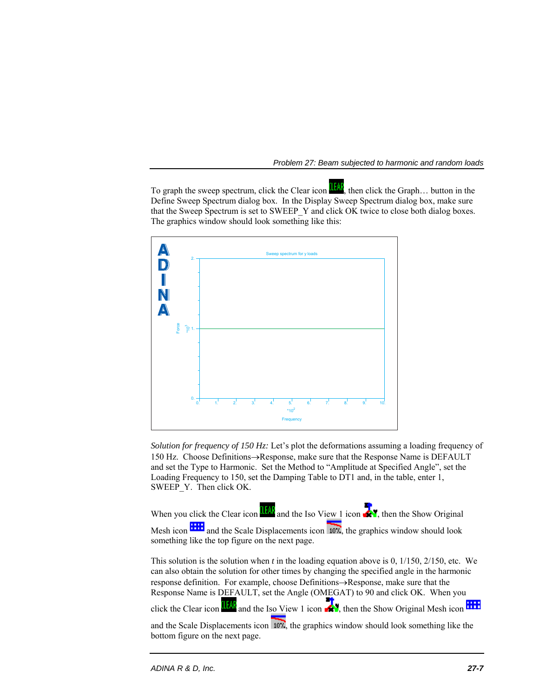To graph the sweep spectrum, click the Clear icon  $\frac{d[A]}{dA}$ , then click the Graph... button in the Define Sweep Spectrum dialog box. In the Display Sweep Spectrum dialog box, make sure that the Sweep Spectrum is set to SWEEP\_Y and click OK twice to close both dialog boxes. The graphics window should look something like this:



*Solution for frequency of 150 Hz:* Let's plot the deformations assuming a loading frequency of 150 Hz. Choose Definitions $\rightarrow$ Response, make sure that the Response Name is DEFAULT and set the Type to Harmonic. Set the Method to "Amplitude at Specified Angle", set the Loading Frequency to 150, set the Damping Table to DT1 and, in the table, enter 1, SWEEP\_Y. Then click OK.

When you click the Clear icon  $\mathbf{u}$  and the Iso View 1 icon  $\mathbf{v}$ , then the Show Original Mesh icon **and the Scale Displacements icon** 10%, the graphics window should look something like the top figure on the next page.

This solution is the solution when *t* in the loading equation above is 0, 1/150, 2/150, etc. We can also obtain the solution for other times by changing the specified angle in the harmonic response definition. For example, choose Definitions $\rightarrow$ Response, make sure that the Response Name is DEFAULT, set the Angle (OMEGAT) to 90 and click OK. When you

click the Clear icon  $\frac{11648}{1111}$  and the Iso View 1 icon  $\frac{1}{1111}$ , then the Show Original Mesh icon

and the Scale Displacements icon  $10\%$ , the graphics window should look something like the bottom figure on the next page.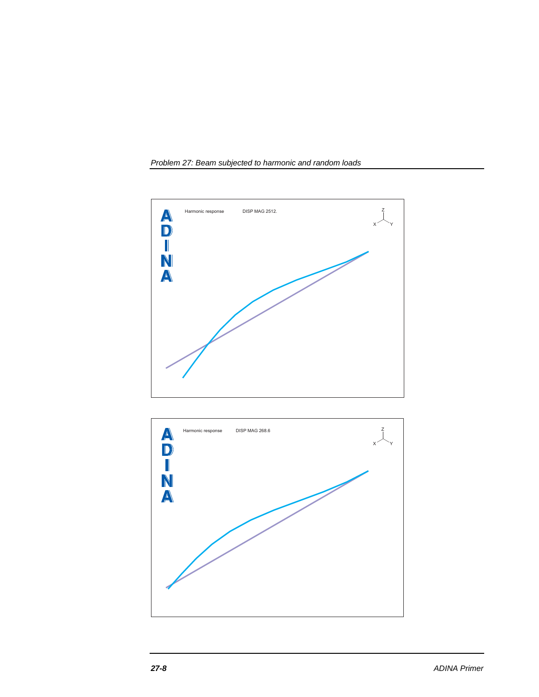



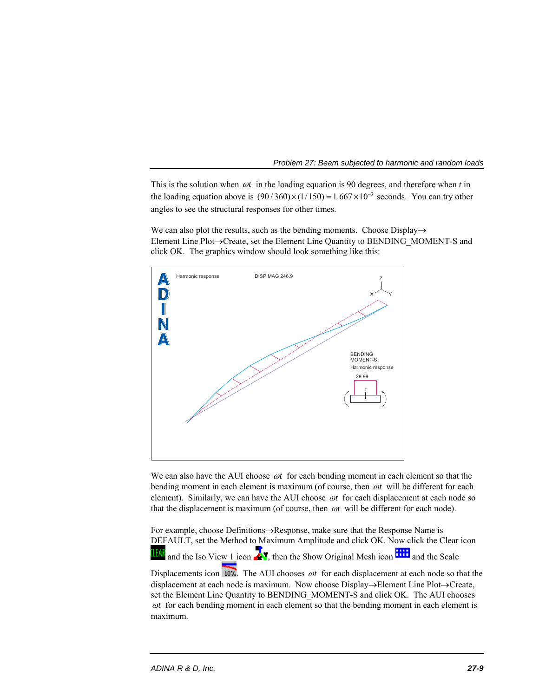This is the solution when  $\omega t$  in the loading equation is 90 degrees, and therefore when  $t$  in the loading equation above is  $(90 / 360) \times (1/150) = 1.667 \times 10^{-3}$  seconds. You can try other angles to see the structural responses for other times.

We can also plot the results, such as the bending moments. Choose Display $\rightarrow$ Element Line Plot->Create, set the Element Line Quantity to BENDING MOMENT-S and click OK. The graphics window should look something like this:



We can also have the AUI choose  $\omega t$  for each bending moment in each element so that the bending moment in each element is maximum (of course, then  $\omega t$  will be different for each element). Similarly, we can have the AUI choose  $\omega t$  for each displacement at each node so that the displacement is maximum (of course, then  $\omega t$  will be different for each node).

For example, choose Definitions $\rightarrow$ Response, make sure that the Response Name is DEFAULT, set the Method to Maximum Amplitude and click OK. Now click the Clear icon and the Iso View 1 icon  $\mathbb{R}^n$ , then the Show Original Mesh icon  $\mathbb{R}^n$  and the Scale

Displacements icon  $\overline{107}$ . The AUI chooses  $\omega t$  for each displacement at each node so that the displacement at each node is maximum. Now choose  $Display\rightarrow Element$  Line Plot $\rightarrow$ Create, set the Element Line Quantity to BENDING\_MOMENT-S and click OK. The AUI chooses *ot* for each bending moment in each element so that the bending moment in each element is maximum.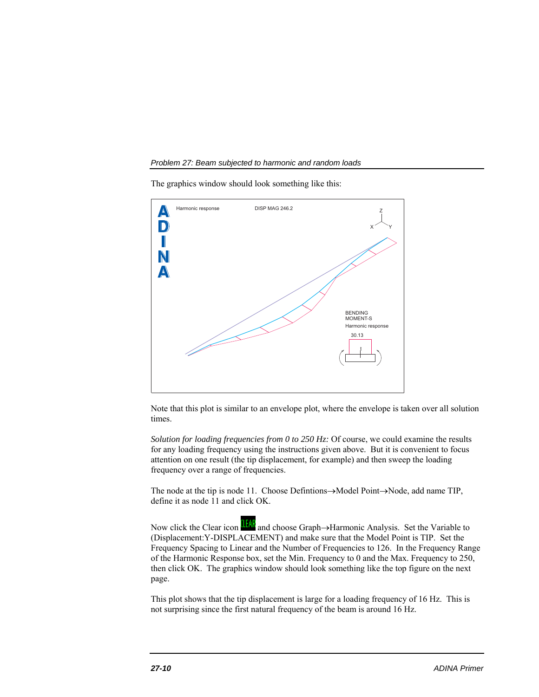The graphics window should look something like this:



Note that this plot is similar to an envelope plot, where the envelope is taken over all solution times.

*Solution for loading frequencies from 0 to 250 Hz:* Of course, we could examine the results for any loading frequency using the instructions given above. But it is convenient to focus attention on one result (the tip displacement, for example) and then sweep the loading frequency over a range of frequencies.

The node at the tip is node 11. Choose Defintions $\rightarrow$ Model Point $\rightarrow$ Node, add name TIP, define it as node 11 and click OK.

Now click the Clear icon **II and choose Graph**->Harmonic Analysis. Set the Variable to (Displacement:Y-DISPLACEMENT) and make sure that the Model Point is TIP. Set the Frequency Spacing to Linear and the Number of Frequencies to 126. In the Frequency Range of the Harmonic Response box, set the Min. Frequency to 0 and the Max. Frequency to 250, then click OK. The graphics window should look something like the top figure on the next page.

This plot shows that the tip displacement is large for a loading frequency of 16 Hz. This is not surprising since the first natural frequency of the beam is around 16 Hz.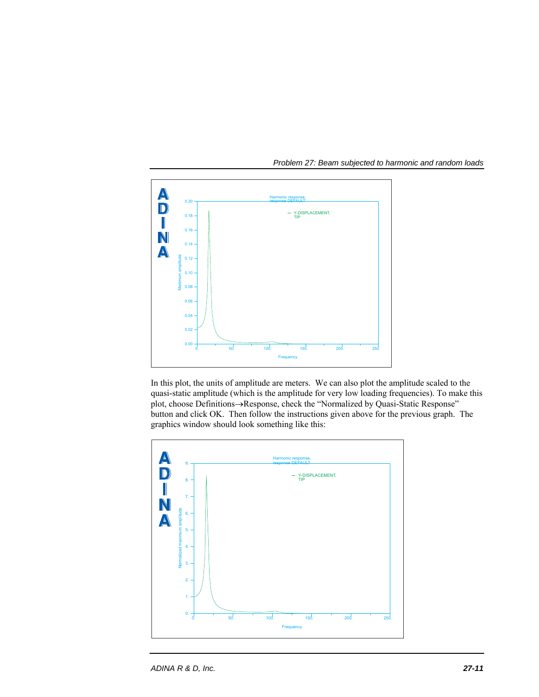

In this plot, the units of amplitude are meters. We can also plot the amplitude scaled to the quasi-static amplitude (which is the amplitude for very low loading frequencies). To make this plot, choose Definitions->Response, check the "Normalized by Quasi-Static Response" button and click OK. Then follow the instructions given above for the previous graph. The graphics window should look something like this:

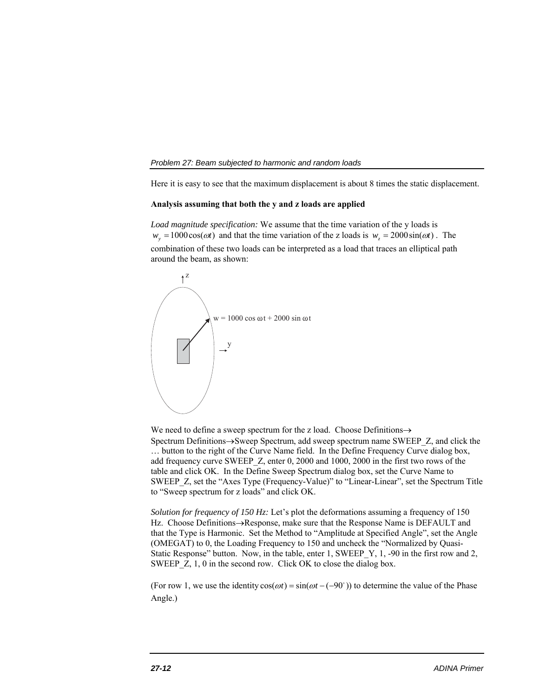Here it is easy to see that the maximum displacement is about 8 times the static displacement.

#### **Analysis assuming that both the y and z loads are applied**

*Load magnitude specification:* We assume that the time variation of the y loads is  $w_y = 1000\cos(\omega t)$  and that the time variation of the z loads is  $w_z = 2000\sin(\omega t)$ . The combination of these two loads can be interpreted as a load that traces an elliptical path around the beam, as shown:



We need to define a sweep spectrum for the z load. Choose Definitions $\rightarrow$ Spectrum Definitions $\rightarrow$ Sweep Spectrum, add sweep spectrum name SWEEP  $Z$ , and click the … button to the right of the Curve Name field. In the Define Frequency Curve dialog box, add frequency curve SWEEP\_Z, enter 0, 2000 and 1000, 2000 in the first two rows of the table and click OK. In the Define Sweep Spectrum dialog box, set the Curve Name to SWEEP\_Z, set the "Axes Type (Frequency-Value)" to "Linear-Linear", set the Spectrum Title to "Sweep spectrum for z loads" and click OK.

*Solution for frequency of 150 Hz:* Let's plot the deformations assuming a frequency of 150 Hz. Choose Definitions->Response, make sure that the Response Name is DEFAULT and that the Type is Harmonic. Set the Method to "Amplitude at Specified Angle", set the Angle (OMEGAT) to 0, the Loading Frequency to 150 and uncheck the "Normalized by Quasi-Static Response" button. Now, in the table, enter 1, SWEEP Y, 1, -90 in the first row and 2, SWEEP Z, 1, 0 in the second row. Click OK to close the dialog box.

(For row 1, we use the identity  $cos(\omega t) = sin(\omega t - (-90^{\circ}))$  to determine the value of the Phase Angle.)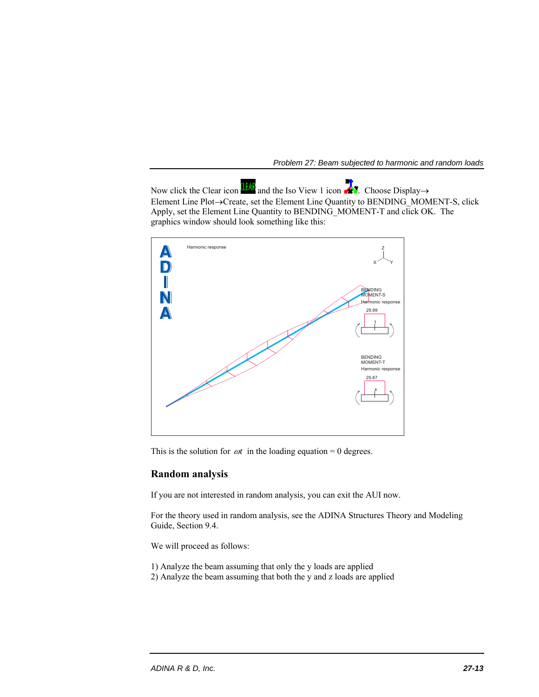Now click the Clear icon  $\frac{d[f]}{dA}$  and the Iso View 1 icon  $\mathbb{R}$ . Choose Display  $\rightarrow$ Element Line Plot->Create, set the Element Line Quantity to BENDING\_MOMENT-S, click Apply, set the Element Line Quantity to BENDING\_MOMENT-T and click OK. The graphics window should look something like this:



This is the solution for  $\omega t$  in the loading equation = 0 degrees.

## **Random analysis**

If you are not interested in random analysis, you can exit the AUI now.

For the theory used in random analysis, see the ADINA Structures Theory and Modeling Guide, Section 9.4.

We will proceed as follows:

- 1) Analyze the beam assuming that only the y loads are applied
- 2) Analyze the beam assuming that both the y and z loads are applied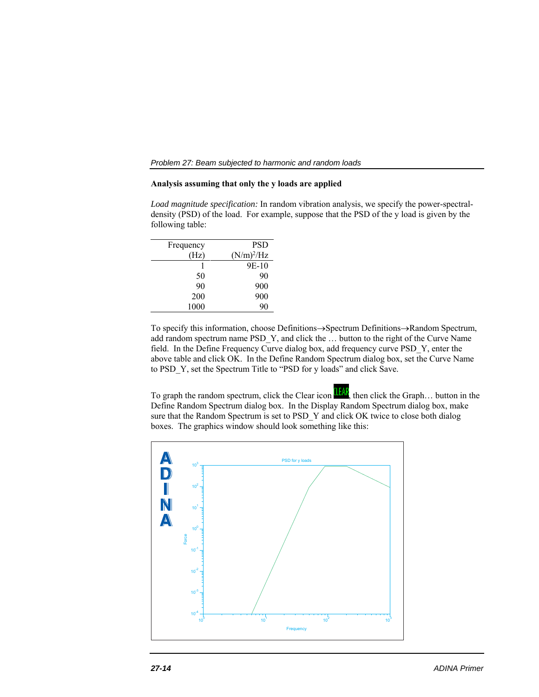## **Analysis assuming that only the y loads are applied**

*Load magnitude specification:* In random vibration analysis, we specify the power-spectraldensity (PSD) of the load. For example, suppose that the PSD of the y load is given by the following table:

| Frequency | <b>PSD</b>    |
|-----------|---------------|
| (Hz)      | $(N/m)^2$ /Hz |
|           | 9E-10         |
| 50        | 90            |
| 90        | 900           |
| 200       | 900           |
| 1000      |               |

To specify this information, choose Definitions->Spectrum Definitions->Random Spectrum, add random spectrum name PSD\_Y, and click the … button to the right of the Curve Name field. In the Define Frequency Curve dialog box, add frequency curve PSD\_Y, enter the above table and click OK. In the Define Random Spectrum dialog box, set the Curve Name to PSD\_Y, set the Spectrum Title to "PSD for y loads" and click Save.

To graph the random spectrum, click the Clear icon  $\frac{\text{If } A \mathbf{R}}{A}$ , then click the Graph... button in the Define Random Spectrum dialog box. In the Display Random Spectrum dialog box, make sure that the Random Spectrum is set to PSD\_Y and click OK twice to close both dialog boxes. The graphics window should look something like this:

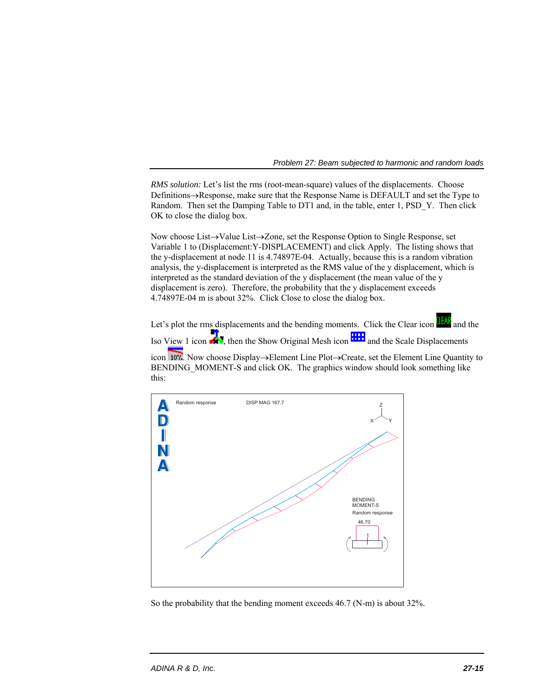*RMS solution:* Let's list the rms (root-mean-square) values of the displacements. Choose Definitions $\rightarrow$ Response, make sure that the Response Name is DEFAULT and set the Type to Random. Then set the Damping Table to DT1 and, in the table, enter 1, PSD\_Y. Then click OK to close the dialog box.

Now choose List-Yalue List-Yone, set the Response Option to Single Response, set Variable 1 to (Displacement:Y-DISPLACEMENT) and click Apply. The listing shows that the y-displacement at node 11 is 4.74897E-04. Actually, because this is a random vibration analysis, the y-displacement is interpreted as the RMS value of the y displacement, which is interpreted as the standard deviation of the y displacement (the mean value of the y displacement is zero). Therefore, the probability that the y displacement exceeds 4.74897E-04 m is about 32%. Click Close to close the dialog box.

Let's plot the rms displacements and the bending moments. Click the Clear icon **ILEAP** and the Iso View 1 icon  $\mathbb{R}^3$ , then the Show Original Mesh icon  $\mathbb{R}^3$  and the Scale Displacements icon 107. Now choose Display->Element Line Plot->Create, set the Element Line Quantity to BENDING\_MOMENT-S and click OK. The graphics window should look something like this:



So the probability that the bending moment exceeds 46.7 (N-m) is about 32%.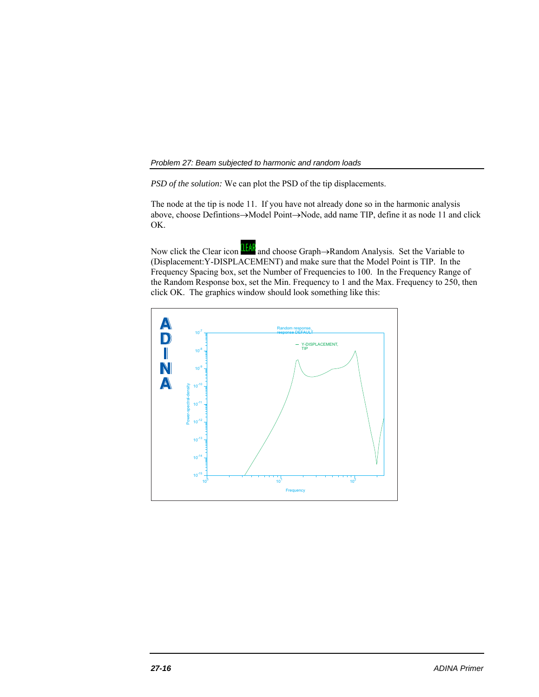*PSD of the solution:* We can plot the PSD of the tip displacements.

The node at the tip is node 11. If you have not already done so in the harmonic analysis above, choose Defintions->Model Point->Node, add name TIP, define it as node 11 and click OK.

Now click the Clear icon **Ital** and choose Graph->Random Analysis. Set the Variable to (Displacement:Y-DISPLACEMENT) and make sure that the Model Point is TIP. In the Frequency Spacing box, set the Number of Frequencies to 100. In the Frequency Range of the Random Response box, set the Min. Frequency to 1 and the Max. Frequency to 250, then click OK. The graphics window should look something like this:

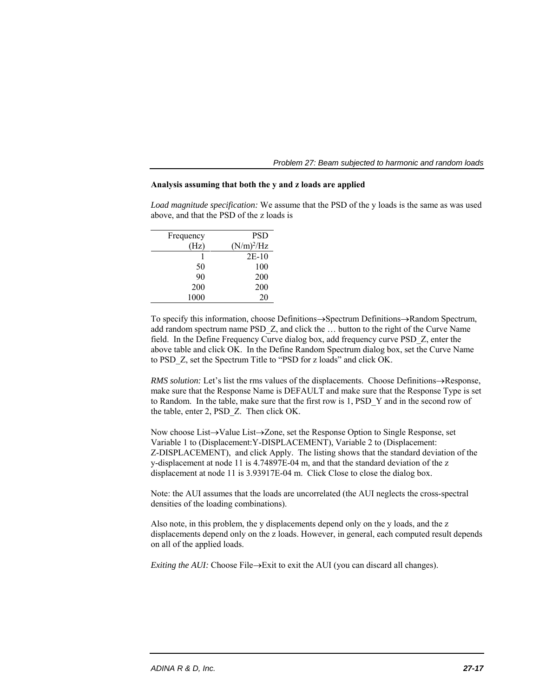| Problem 27: Beam subjected to harmonic and random loads |  |  |  |
|---------------------------------------------------------|--|--|--|
|---------------------------------------------------------|--|--|--|

### **Analysis assuming that both the y and z loads are applied**

*Load magnitude specification:* We assume that the PSD of the y loads is the same as was used above, and that the PSD of the z loads is

| Frequency | <b>PSD</b>    |
|-----------|---------------|
| Hz)       | $(N/m)^2$ /Hz |
|           | $2E-10$       |
| 50        | 100           |
| 90        | 200           |
| 200       | 200           |
| 1000      | 20            |

To specify this information, choose Definitions->Spectrum Definitions->Random Spectrum, add random spectrum name PSD\_Z, and click the … button to the right of the Curve Name field. In the Define Frequency Curve dialog box, add frequency curve PSD\_Z, enter the above table and click OK. In the Define Random Spectrum dialog box, set the Curve Name to PSD\_Z, set the Spectrum Title to "PSD for z loads" and click OK.

*RMS solution:* Let's list the rms values of the displacements. Choose Definitions->Response, make sure that the Response Name is DEFAULT and make sure that the Response Type is set to Random. In the table, make sure that the first row is 1, PSD\_Y and in the second row of the table, enter 2, PSD\_Z. Then click OK.

Now choose List $\rightarrow$ Value List $\rightarrow$ Zone, set the Response Option to Single Response, set Variable 1 to (Displacement:Y-DISPLACEMENT), Variable 2 to (Displacement: Z-DISPLACEMENT), and click Apply. The listing shows that the standard deviation of the y-displacement at node 11 is 4.74897E-04 m, and that the standard deviation of the z displacement at node 11 is 3.93917E-04 m. Click Close to close the dialog box.

Note: the AUI assumes that the loads are uncorrelated (the AUI neglects the cross-spectral densities of the loading combinations).

Also note, in this problem, the y displacements depend only on the y loads, and the z displacements depend only on the z loads. However, in general, each computed result depends on all of the applied loads.

*Exiting the AUI:* Choose File $\rightarrow$ Exit to exit the AUI (you can discard all changes).